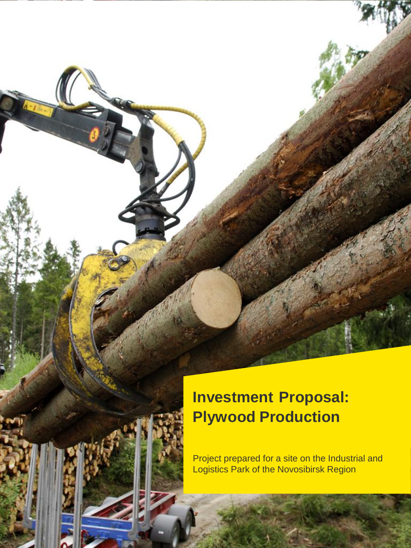# **Investment Proposal: Plywood Production**

Project prepared for a site on the Industrial and Logistics Park of the Novosibirsk Region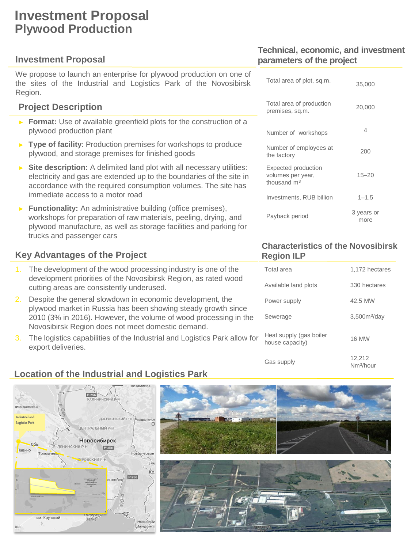# **Investment Proposal Plywood Production**

### **Investment Proposal**

We propose to launch an enterprise for plywood production on one of the sites of the Industrial and Logistics Park of the Novosibirsk Region.

## **Project Description**

- ► **Format:** Use of available greenfield plots for the construction of a plywood production plant
- ► **Type of facility**: Production premises for workshops to produce plywood, and storage premises for finished goods
- ► **Site description:** A delimited land plot with all necessary utilities: electricity and gas are extended up to the boundaries of the site in accordance with the required consumption volumes. The site has immediate access to a motor road
- ► **Functionality:** An administrative building (office premises), workshops for preparation of raw materials, peeling, drying, and plywood manufacture, as well as storage facilities and parking for trucks and passenger cars

#### **Key Advantages of the Project**

- 1. The development of the wood processing industry is one of the development priorities of the Novosibirsk Region, as rated wood cutting areas are consistently underused.
- 2. Despite the general slowdown in economic development, the plywood market in Russia has been showing steady growth since 2010 (3% in 2016). However, the volume of wood processing in the Novosibirsk Region does not meet domestic demand.
- 3. The logistics capabilities of the Industrial and Logistics Park allow for export deliveries.

## **Technical, economic, and investment parameters of the project**

| Total area of plot, sq.m.                                 | 35,000             |
|-----------------------------------------------------------|--------------------|
| Total area of production<br>premises, sq.m.               | 20,000             |
| Number of workshops                                       | 4                  |
| Number of employees at<br>the factory                     | 200                |
| Expected production<br>volumes per year,<br>thousand $m3$ | $15 - 20$          |
| Investments, RUB billion                                  | $1 - 1.5$          |
| Payback period                                            | 3 years or<br>more |

#### **Characteristics of the Novosibirsk Region ILP**

| Total area                                 | 1,172 hectares                  |
|--------------------------------------------|---------------------------------|
| Available land plots                       | 330 hectares                    |
| Power supply                               | 42.5 MW                         |
| Sewerage                                   | 3,500m <sup>3</sup> /day        |
| Heat supply (gas boiler<br>house capacity) | <b>16 MW</b>                    |
| Gas supply                                 | 12,212<br>Nm <sup>3</sup> /hour |

## **Location of the Industrial and Logistics Park**

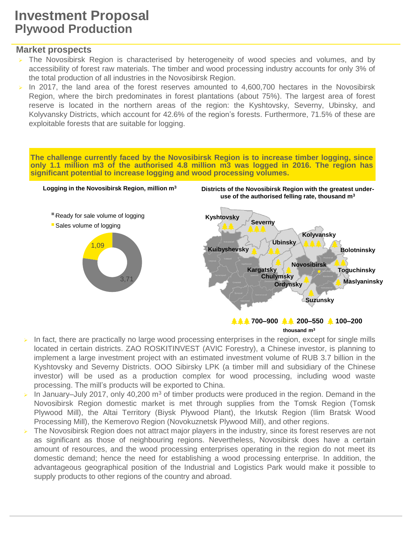## **Investment Proposal Plywood Production**

#### **Market prospects**

- $\triangleright$  The Novosibirsk Region is characterised by heterogeneity of wood species and volumes, and by accessibility of forest raw materials. The timber and wood processing industry accounts for only 3% of the total production of all industries in the Novosibirsk Region.
- In 2017, the land area of the forest reserves amounted to 4,600,700 hectares in the Novosibirsk Region, where the birch predominates in forest plantations (about 75%). The largest area of forest reserve is located in the northern areas of the region: the Kyshtovsky, Severny, Ubinsky, and Kolyvansky Districts, which account for 42.6% of the region's forests. Furthermore, 71.5% of these are exploitable forests that are suitable for logging.

**The challenge currently faced by the Novosibirsk Region is to increase timber logging, since only 1.1 million m3 of the authorised 4.8 million m3 was logged in 2016. The region has significant potential to increase logging and wood processing volumes.**



- **thousand m<sup>3</sup>**
- In fact, there are practically no large wood processing enterprises in the region, except for single mills located in certain districts. ZAO ROSKITINVEST (AVIC Forestry), a Chinese investor, is planning to implement a large investment project with an estimated investment volume of RUB 3.7 billion in the Kyshtovsky and Severny Districts. OOO Sibirsky LPK (a timber mill and subsidiary of the Chinese investor) will be used as a production complex for wood processing, including wood waste processing. The mill's products will be exported to China.
- In January–July 2017, only 40,200  $m<sup>3</sup>$  of timber products were produced in the region. Demand in the Novosibirsk Region domestic market is met through supplies from the Tomsk Region (Tomsk Plywood Mill), the Altai Territory (Biysk Plywood Plant), the Irkutsk Region (Ilim Bratsk Wood Processing Mill), the Kemerovo Region (Novokuznetsk Plywood Mill), and other regions.
- The Novosibirsk Region does not attract major players in the industry, since its forest reserves are not as significant as those of neighbouring regions. Nevertheless, Novosibirsk does have a certain amount of resources, and the wood processing enterprises operating in the region do not meet its domestic demand; hence the need for establishing a wood processing enterprise. In addition, the advantageous geographical position of the Industrial and Logistics Park would make it possible to supply products to other regions of the country and abroad.